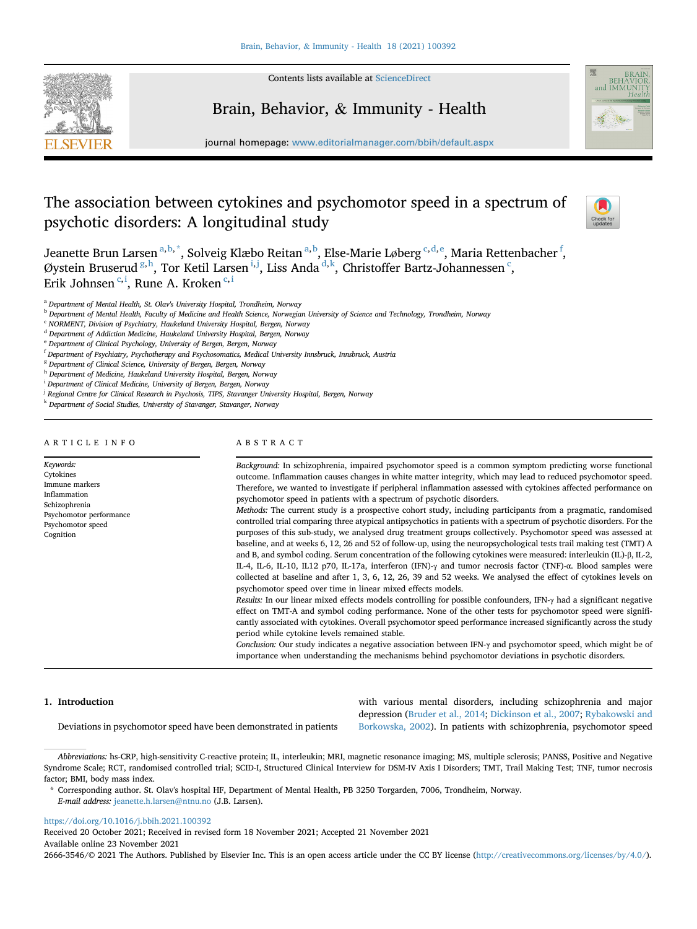

Contents lists available at [ScienceDirect](www.sciencedirect.com/science/journal/26663546)

# Brain, Behavior, & Immunity - Health



journal homepage: <www.editorialmanager.com/bbih/default.aspx>

# The association between cytokines and psychomotor speed in a spectrum of psychotic disorders: A longitudinal study



Je[a](#page-0-0)nette Brun Larsen <sup>a,[b,](#page-0-1)[\\*](#page-0-2)</sup>, Solveig Klæ[b](#page-0-1)o Reitan <sup>a,b</sup>, Else-Marie Løberg <sup>[c,](#page-0-3)[d,](#page-0-4)[e](#page-0-5)</sup>, Maria Rettenbacher <sup>[f](#page-0-6)</sup>, Øystein Bruserud <sup>[g,](#page-0-7) [h](#page-0-8)</sup>, Tor Ketil Larsen [i,](#page-0-9)[j](#page-0-10), Liss An[d](#page-0-4)a <sup>d, [k](#page-0-11)</sup>, Christoffer Bartz-Johannessen  $\cdot$  $\cdot$  $\cdot$ , Erik Johnsen <sup>[c,](#page-0-3) [i](#page-0-9)</sup>, Rune A. Kroken <sup>c, i</sup>

<span id="page-0-0"></span><sup>a</sup> Department of Mental Health, St. Olav's University Hospital, Trondheim, Norway

<span id="page-0-4"></span><sup>d</sup> Department of Addiction Medicine, Haukeland University Hospital, Bergen, Norway

<span id="page-0-7"></span><sup>8</sup> Department of Clinical Science, University of Bergen, Bergen, Norway

<span id="page-0-9"></span><sup>i</sup> Department of Clinical Medicine, University of Bergen, Bergen, Norway

<span id="page-0-10"></span><sup>j</sup> Regional Centre for Clinical Research in Psychosis, TIPS, Stavanger University Hospital, Bergen, Norway

<span id="page-0-11"></span>k Department of Social Studies, University of Stavanger, Stavanger, Norway

# ARTICLE INFO

Keywords: Cytokines Immune markers Inflammation Schizophrenia Psychomotor performance Psychomotor speed Cognition

# ABSTRACT

Background: In schizophrenia, impaired psychomotor speed is a common symptom predicting worse functional outcome. Inflammation causes changes in white matter integrity, which may lead to reduced psychomotor speed. Therefore, we wanted to investigate if peripheral inflammation assessed with cytokines affected performance on psychomotor speed in patients with a spectrum of psychotic disorders.

Methods: The current study is a prospective cohort study, including participants from a pragmatic, randomised controlled trial comparing three atypical antipsychotics in patients with a spectrum of psychotic disorders. For the purposes of this sub-study, we analysed drug treatment groups collectively. Psychomotor speed was assessed at baseline, and at weeks 6, 12, 26 and 52 of follow-up, using the neuropsychological tests trail making test (TMT) A and B, and symbol coding. Serum concentration of the following cytokines were measured: interleukin (IL)-β, IL-2, IL-4, IL-6, IL-10, IL12 p70, IL-17a, interferon (IFN)-γ and tumor necrosis factor (TNF)-α. Blood samples were collected at baseline and after 1, 3, 6, 12, 26, 39 and 52 weeks. We analysed the effect of cytokines levels on psychomotor speed over time in linear mixed effects models.

Results: In our linear mixed effects models controlling for possible confounders, IFN- $\gamma$  had a significant negative effect on TMT-A and symbol coding performance. None of the other tests for psychomotor speed were significantly associated with cytokines. Overall psychomotor speed performance increased significantly across the study period while cytokine levels remained stable.

Conclusion: Our study indicates a negative association between IFN-γ and psychomotor speed, which might be of importance when understanding the mechanisms behind psychomotor deviations in psychotic disorders.

### 1. Introduction

Deviations in psychomotor speed have been demonstrated in patients

with various mental disorders, including schizophrenia and major depression [\(Bruder et al., 2014;](#page-5-0) [Dickinson et al., 2007;](#page-6-0) [Rybakowski and](#page-6-1) [Borkowska, 2002\)](#page-6-1). In patients with schizophrenia, psychomotor speed

Abbreviations: hs-CRP, high-sensitivity C-reactive protein; IL, interleukin; MRI, magnetic resonance imaging; MS, multiple sclerosis; PANSS, Positive and Negative Syndrome Scale; RCT, randomised controlled trial; SCID-I, Structured Clinical Interview for DSM-IV Axis I Disorders; TMT, Trail Making Test; TNF, tumor necrosis factor; BMI, body mass index.

<span id="page-0-2"></span>\* Corresponding author. St. Olav's hospital HF, Department of Mental Health, PB 3250 Torgarden, 7006, Trondheim, Norway.

<https://doi.org/10.1016/j.bbih.2021.100392>

Received 20 October 2021; Received in revised form 18 November 2021; Accepted 21 November 2021 Available online 23 November 2021

2666-3546/© 2021 The Authors. Published by Elsevier Inc. This is an open access article under the CC BY license [\(http://creativecommons.org/licenses/by/4.0/](http://creativecommons.org/licenses/by/4.0/)).

<span id="page-0-1"></span>**b** Department of Mental Health, Faculty of Medicine and Health Science, Norwegian University of Science and Technology, Trondheim, Norway

<span id="page-0-3"></span><sup>c</sup> NORMENT, Division of Psychiatry, Haukeland University Hospital, Bergen, Norway

<span id="page-0-5"></span><sup>e</sup> Department of Clinical Psychology, University of Bergen, Bergen, Norway

<span id="page-0-6"></span><sup>f</sup> Department of Psychiatry, Psychotherapy and Psychosomatics, Medical University Innsbruck, Innsbruck, Austria

<span id="page-0-8"></span>h Department of Medicine, Haukeland University Hospital, Bergen, Norway

E-mail address: [jeanette.h.larsen@ntnu.no](mailto:jeanette.h.larsen@ntnu.no) (J.B. Larsen).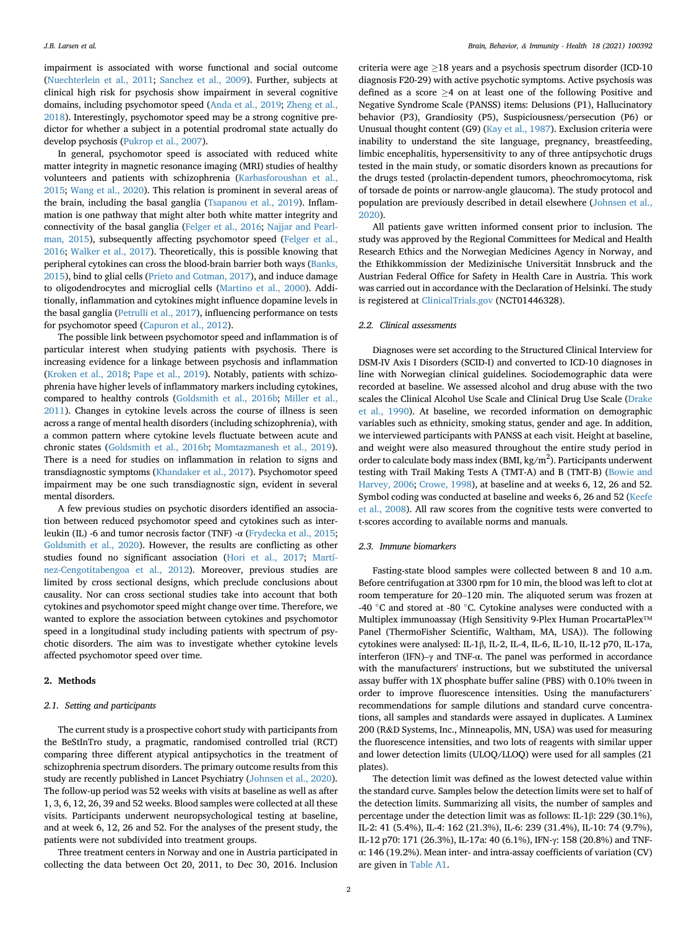impairment is associated with worse functional and social outcome ([Nuechterlein et al., 2011](#page-6-2); [Sanchez et al., 2009\)](#page-6-3). Further, subjects at clinical high risk for psychosis show impairment in several cognitive domains, including psychomotor speed ([Anda et al., 2019](#page-5-1); [Zheng et al.,](#page-7-0) [2018\)](#page-7-0). Interestingly, psychomotor speed may be a strong cognitive predictor for whether a subject in a potential prodromal state actually do develop psychosis ([Pukrop et al., 2007\)](#page-6-4).

In general, psychomotor speed is associated with reduced white matter integrity in magnetic resonance imaging (MRI) studies of healthy volunteers and patients with schizophrenia [\(Karbasforoushan et al.,](#page-6-5) [2015;](#page-6-5) [Wang et al., 2020\)](#page-7-1). This relation is prominent in several areas of the brain, including the basal ganglia ([Tsapanou et al., 2019](#page-7-2)). Inflammation is one pathway that might alter both white matter integrity and connectivity of the basal ganglia ([Felger et al., 2016;](#page-6-6) [Najjar and Pearl](#page-6-7)[man, 2015](#page-6-7)), subsequently affecting psychomotor speed ([Felger et al.,](#page-6-6) [2016;](#page-6-6) [Walker et al., 2017\)](#page-7-3). Theoretically, this is possible knowing that peripheral cytokines can cross the blood-brain barrier both ways ([Banks,](#page-5-2) [2015\)](#page-5-2), bind to glial cells ([Prieto and Cotman, 2017](#page-6-8)), and induce damage to oligodendrocytes and microglial cells ([Martino et al., 2000\)](#page-6-9). Additionally, inflammation and cytokines might influence dopamine levels in the basal ganglia [\(Petrulli et al., 2017\)](#page-6-10), influencing performance on tests for psychomotor speed ([Capuron et al., 2012\)](#page-6-11).

The possible link between psychomotor speed and inflammation is of particular interest when studying patients with psychosis. There is increasing evidence for a linkage between psychosis and inflammation ([Kroken et al., 2018](#page-6-12); [Pape et al., 2019\)](#page-6-13). Notably, patients with schizophrenia have higher levels of inflammatory markers including cytokines, compared to healthy controls ([Goldsmith et al., 2016b](#page-6-14); [Miller et al.,](#page-6-15) [2011\)](#page-6-15). Changes in cytokine levels across the course of illness is seen across a range of mental health disorders (including schizophrenia), with a common pattern where cytokine levels fluctuate between acute and chronic states ([Goldsmith et al., 2016b](#page-6-14); [Momtazmanesh et al., 2019\)](#page-6-16). There is a need for studies on inflammation in relation to signs and transdiagnostic symptoms ([Khandaker et al., 2017\)](#page-6-17). Psychomotor speed impairment may be one such transdiagnostic sign, evident in several mental disorders.

A few previous studies on psychotic disorders identified an association between reduced psychomotor speed and cytokines such as interleukin (IL) -6 and tumor necrosis factor (TNF) -α ([Frydecka et al., 2015;](#page-6-18) [Goldsmith et al., 2020\)](#page-6-19). However, the results are conflicting as other studies found no significant association ([Hori et al., 2017;](#page-6-20) [Martí](#page-6-21)[nez-Cengotitabengoa et al., 2012\)](#page-6-21). Moreover, previous studies are limited by cross sectional designs, which preclude conclusions about causality. Nor can cross sectional studies take into account that both cytokines and psychomotor speed might change over time. Therefore, we wanted to explore the association between cytokines and psychomotor speed in a longitudinal study including patients with spectrum of psychotic disorders. The aim was to investigate whether cytokine levels affected psychomotor speed over time.

# 2. Methods

# 2.1. Setting and participants

The current study is a prospective cohort study with participants from the BeStInTro study, a pragmatic, randomised controlled trial (RCT) comparing three different atypical antipsychotics in the treatment of schizophrenia spectrum disorders. The primary outcome results from this study are recently published in Lancet Psychiatry [\(Johnsen et al., 2020\)](#page-6-22). The follow-up period was 52 weeks with visits at baseline as well as after 1, 3, 6, 12, 26, 39 and 52 weeks. Blood samples were collected at all these visits. Participants underwent neuropsychological testing at baseline, and at week 6, 12, 26 and 52. For the analyses of the present study, the patients were not subdivided into treatment groups.

Three treatment centers in Norway and one in Austria participated in collecting the data between Oct 20, 2011, to Dec 30, 2016. Inclusion

criteria were age  $>18$  years and a psychosis spectrum disorder (ICD-10) diagnosis F20-29) with active psychotic symptoms. Active psychosis was defined as a score  $\geq$ 4 on at least one of the following Positive and Negative Syndrome Scale (PANSS) items: Delusions (P1), Hallucinatory behavior (P3), Grandiosity (P5), Suspiciousness/persecution (P6) or Unusual thought content (G9) ([Kay et al., 1987\)](#page-6-23). Exclusion criteria were inability to understand the site language, pregnancy, breastfeeding, limbic encephalitis, hypersensitivity to any of three antipsychotic drugs tested in the main study, or somatic disorders known as precautions for the drugs tested (prolactin-dependent tumors, pheochromocytoma, risk of torsade de points or narrow-angle glaucoma). The study protocol and population are previously described in detail elsewhere ([Johnsen et al.,](#page-6-22) [2020\)](#page-6-22).

All patients gave written informed consent prior to inclusion. The study was approved by the Regional Committees for Medical and Health Research Ethics and the Norwegian Medicines Agency in Norway, and the Ethikkommission der Medizinische Universität Innsbruck and the Austrian Federal Office for Safety in Health Care in Austria. This work was carried out in accordance with the Declaration of Helsinki. The study is registered at [ClinicalTrials.gov](http://ClinicalTrials.gov) (NCT01446328).

# 2.2. Clinical assessments

Diagnoses were set according to the Structured Clinical Interview for DSM-IV Axis I Disorders (SCID-I) and converted to ICD-10 diagnoses in line with Norwegian clinical guidelines. Sociodemographic data were recorded at baseline. We assessed alcohol and drug abuse with the two scales the Clinical Alcohol Use Scale and Clinical Drug Use Scale [\(Drake](#page-6-24) [et al., 1990\)](#page-6-24). At baseline, we recorded information on demographic variables such as ethnicity, smoking status, gender and age. In addition, we interviewed participants with PANSS at each visit. Height at baseline, and weight were also measured throughout the entire study period in order to calculate body mass index (BMI,  $kg/m<sup>2</sup>$ ). Participants underwent testing with Trail Making Tests A (TMT-A) and B (TMT-B) [\(Bowie and](#page-5-3) [Harvey, 2006;](#page-5-3) [Crowe, 1998](#page-6-25)), at baseline and at weeks 6, 12, 26 and 52. Symbol coding was conducted at baseline and weeks 6, 26 and 52 [\(Keefe](#page-6-26) [et al., 2008](#page-6-26)). All raw scores from the cognitive tests were converted to t-scores according to available norms and manuals.

# 2.3. Immune biomarkers

Fasting-state blood samples were collected between 8 and 10 a.m. Before centrifugation at 3300 rpm for 10 min, the blood was left to clot at room temperature for 20–120 min. The aliquoted serum was frozen at -40  $\degree$ C and stored at -80  $\degree$ C. Cytokine analyses were conducted with a Multiplex immunoassay (High Sensitivity 9-Plex Human ProcartaPlex™ Panel (ThermoFisher Scientific, Waltham, MA, USA)). The following cytokines were analysed: IL-1β, IL-2, IL-4, IL-6, IL-10, IL-12 p70, IL-17a, interferon (IFN)–<sup>γ</sup> and TNF-α. The panel was performed in accordance with the manufacturers' instructions, but we substituted the universal assay buffer with 1X phosphate buffer saline (PBS) with 0.10% tween in order to improve fluorescence intensities. Using the manufacturers' recommendations for sample dilutions and standard curve concentrations, all samples and standards were assayed in duplicates. A Luminex 200 (R&D Systems, Inc., Minneapolis, MN, USA) was used for measuring the fluorescence intensities, and two lots of reagents with similar upper and lower detection limits (ULOQ/LLOQ) were used for all samples (21 plates).

The detection limit was defined as the lowest detected value within the standard curve. Samples below the detection limits were set to half of the detection limits. Summarizing all visits, the number of samples and percentage under the detection limit was as follows: IL-1β: 229 (30.1%), IL-2: 41 (5.4%), IL-4: 162 (21.3%), IL-6: 239 (31.4%), IL-10: 74 (9.7%), IL-12 p70: 171 (26.3%), IL-17a: 40 (6.1%), IFN-γ: 158 (20.8%) and TNFα: 146 (19.2%). Mean inter- and intra-assay coefficients of variation (CV) are given in Table A1.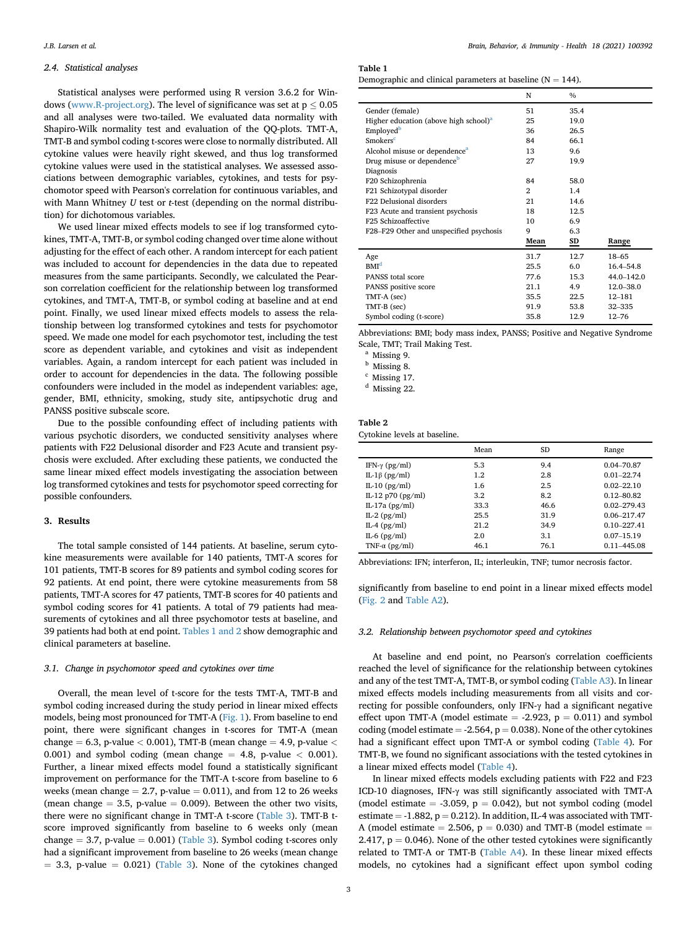## 2.4. Statistical analyses

Statistical analyses were performed using R version 3.6.2 for Windows ([www.R-project.org](http://www.R-project.org)). The level of significance was set at  $p \leq 0.05$ and all analyses were two-tailed. We evaluated data normality with Shapiro-Wilk normality test and evaluation of the QQ-plots. TMT-A, TMT-B and symbol coding t-scores were close to normally distributed. All cytokine values were heavily right skewed, and thus log transformed cytokine values were used in the statistical analyses. We assessed associations between demographic variables, cytokines, and tests for psychomotor speed with Pearson's correlation for continuous variables, and with Mann Whitney  $U$  test or  $t$ -test (depending on the normal distribution) for dichotomous variables.

We used linear mixed effects models to see if log transformed cytokines, TMT-A, TMT-B, or symbol coding changed over time alone without adjusting for the effect of each other. A random intercept for each patient was included to account for dependencies in the data due to repeated measures from the same participants. Secondly, we calculated the Pearson correlation coefficient for the relationship between log transformed cytokines, and TMT-A, TMT-B, or symbol coding at baseline and at end point. Finally, we used linear mixed effects models to assess the relationship between log transformed cytokines and tests for psychomotor speed. We made one model for each psychomotor test, including the test score as dependent variable, and cytokines and visit as independent variables. Again, a random intercept for each patient was included in order to account for dependencies in the data. The following possible confounders were included in the model as independent variables: age, gender, BMI, ethnicity, smoking, study site, antipsychotic drug and PANSS positive subscale score.

Due to the possible confounding effect of including patients with various psychotic disorders, we conducted sensitivity analyses where patients with F22 Delusional disorder and F23 Acute and transient psychosis were excluded. After excluding these patients, we conducted the same linear mixed effect models investigating the association between log transformed cytokines and tests for psychomotor speed correcting for possible confounders.

### 3. Results

The total sample consisted of 144 patients. At baseline, serum cytokine measurements were available for 140 patients, TMT-A scores for 101 patients, TMT-B scores for 89 patients and symbol coding scores for 92 patients. At end point, there were cytokine measurements from 58 patients, TMT-A scores for 47 patients, TMT-B scores for 40 patients and symbol coding scores for 41 patients. A total of 79 patients had measurements of cytokines and all three psychomotor tests at baseline, and 39 patients had both at end point. [Tables 1 and 2](#page-2-0) show demographic and clinical parameters at baseline.

#### 3.1. Change in psychomotor speed and cytokines over time

Overall, the mean level of t-score for the tests TMT-A, TMT-B and symbol coding increased during the study period in linear mixed effects models, being most pronounced for TMT-A [\(Fig. 1\)](#page-3-0). From baseline to end point, there were significant changes in t-scores for TMT-A (mean change  $= 6.3$ , p-value  $< 0.001$ ), TMT-B (mean change  $= 4.9$ , p-value  $<$ 0.001) and symbol coding (mean change  $=$  4.8, p-value  $<$  0.001). Further, a linear mixed effects model found a statistically significant improvement on performance for the TMT-A t-score from baseline to 6 weeks (mean change  $= 2.7$ , p-value  $= 0.011$ ), and from 12 to 26 weeks (mean change  $= 3.5$ , p-value  $= 0.009$ ). Between the other two visits, there were no significant change in TMT-A t-score [\(Table 3](#page-3-1)). TMT-B tscore improved significantly from baseline to 6 weeks only (mean change  $= 3.7$ , p-value  $= 0.001$ ) [\(Table 3\)](#page-3-1). Symbol coding t-scores only had a significant improvement from baseline to 26 weeks (mean change  $= 3.3$ , p-value  $= 0.021$ ) ([Table 3\)](#page-3-1). None of the cytokines changed

<span id="page-2-0"></span>Table 1

| Demographic and clinical parameters at baseline ( $N = 144$ ). |
|----------------------------------------------------------------|
|----------------------------------------------------------------|

|                                                   | N            | $\%$ |               |
|---------------------------------------------------|--------------|------|---------------|
| Gender (female)                                   | 51           | 35.4 |               |
| Higher education (above high school) <sup>a</sup> | 25           | 19.0 |               |
| Employed <sup>b</sup>                             | 36           | 26.5 |               |
| <b>Smokers<sup>c</sup></b>                        | 84           | 66.1 |               |
| Alcohol misuse or dependence <sup>a</sup>         | 13           | 9.6  |               |
| Drug misuse or dependence <sup>b</sup>            | 27           | 19.9 |               |
| Diagnosis                                         |              |      |               |
| F20 Schizophrenia                                 | 84           | 58.0 |               |
| F21 Schizotypal disorder                          | $\mathbf{2}$ | 1.4  |               |
| F22 Delusional disorders                          | 21           | 14.6 |               |
| F23 Acute and transient psychosis                 | 18           | 12.5 |               |
| F <sub>25</sub> Schizoaffective                   | 10           | 6.9  |               |
| F28-F29 Other and unspecified psychosis           | 9            | 6.3  |               |
|                                                   | Mean         | SD   | Range         |
| Age                                               | 31.7         | 12.7 | $18 - 65$     |
| BMI <sup>d</sup>                                  | 25.5         | 6.0  | 16.4-54.8     |
| PANSS total score                                 | 77.6         | 15.3 | 44.0-142.0    |
| PANSS positive score                              | 21.1         | 4.9  | $12.0 - 38.0$ |
| TMT-A (sec)                                       | 35.5         | 22.5 | $12 - 181$    |
| TMT-B (sec)                                       | 91.9         | 53.8 | $32 - 335$    |
| Symbol coding (t-score)                           | 35.8         | 12.9 | $12 - 76$     |

Abbreviations: BMI; body mass index, PANSS; Positive and Negative Syndrome Scale, TMT; Trail Making Test.

<span id="page-2-1"></span><sup>a</sup> Missing 9.

<span id="page-2-2"></span><sup>b</sup> Missing 8.

<span id="page-2-3"></span><sup>c</sup> Missing 17.

<span id="page-2-4"></span><sup>d</sup> Missing 22.

# Table 2

| Cytokine levels at baseline. |  |  |
|------------------------------|--|--|
|------------------------------|--|--|

|                         | Mean | SD   | Range           |
|-------------------------|------|------|-----------------|
| IFN- $\gamma$ (pg/ml)   | 5.3  | 9.4  | 0.04-70.87      |
| IL-1β (pg/ml)           | 1.2  | 2.8  | $0.01 - 22.74$  |
| IL-10 $(pg/ml)$         | 1.6  | 2.5  | $0.02 - 22.10$  |
| IL-12 $p70$ ( $pg/ml$ ) | 3.2  | 8.2  | $0.12 - 80.82$  |
| IL-17a $(pg/ml)$        | 33.3 | 46.6 | $0.02 - 279.43$ |
| $IL-2$ ( $pg/ml$ )      | 25.5 | 31.9 | 0.06-217.47     |
| IL-4 $(pg/ml)$          | 21.2 | 34.9 | $0.10 - 227.41$ |
| IL-6 $(pg/ml)$          | 2.0  | 3.1  | $0.07 - 15.19$  |
| TNF- $\alpha$ (pg/ml)   | 46.1 | 76.1 | 0.11-445.08     |

Abbreviations: IFN; interferon, IL; interleukin, TNF; tumor necrosis factor.

significantly from baseline to end point in a linear mixed effects model ([Fig. 2](#page-3-2) and Table A2).

# 3.2. Relationship between psychomotor speed and cytokines

At baseline and end point, no Pearson's correlation coefficients reached the level of significance for the relationship between cytokines and any of the test TMT-A, TMT-B, or symbol coding ([Table A3\)](#page-5-4). In linear mixed effects models including measurements from all visits and correcting for possible confounders, only IFN-γ had a significant negative effect upon TMT-A (model estimate  $= -2.923$ ,  $p = 0.011$ ) and symbol coding (model estimate  $= -2.564$ ,  $p = 0.038$ ). None of the other cytokines had a significant effect upon TMT-A or symbol coding [\(Table 4\)](#page-4-0). For TMT-B, we found no significant associations with the tested cytokines in a linear mixed effects model [\(Table 4](#page-4-0)).

In linear mixed effects models excluding patients with F22 and F23 ICD-10 diagnoses, IFN-γ was still significantly associated with TMT-A (model estimate  $= -3.059$ ,  $p = 0.042$ ), but not symbol coding (model estimate  $= -1.882$ ,  $p = 0.212$ ). In addition, IL-4 was associated with TMT-A (model estimate  $= 2.506$ ,  $p = 0.030$ ) and TMT-B (model estimate  $=$ 2.417,  $p = 0.046$ ). None of the other tested cytokines were significantly related to TMT-A or TMT-B [\(Table A4](#page-5-4)). In these linear mixed effects models, no cytokines had a significant effect upon symbol coding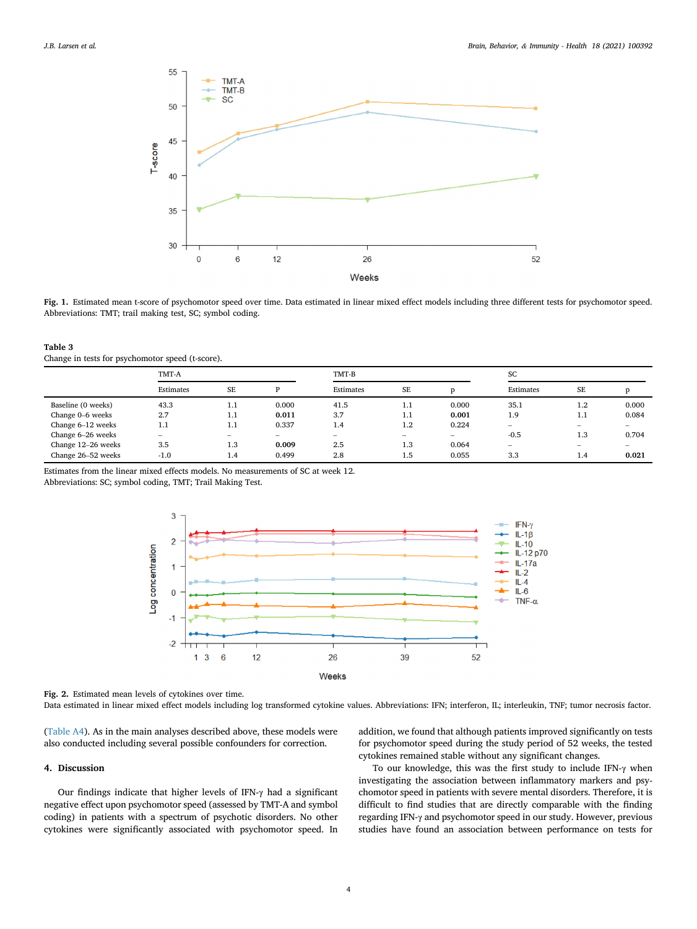<span id="page-3-0"></span>

Fig. 1. Estimated mean t-score of psychomotor speed over time. Data estimated in linear mixed effect models including three different tests for psychomotor speed. Abbreviations: TMT; trail making test, SC; symbol coding.

<span id="page-3-1"></span>

| Table 3 |                                                  |  |
|---------|--------------------------------------------------|--|
|         | Change in tests for psychomotor speed (t-score). |  |

|                    | TMT-A           |           |        | TMT-B     |                          |                          |                          | SC      |       |  |
|--------------------|-----------------|-----------|--------|-----------|--------------------------|--------------------------|--------------------------|---------|-------|--|
|                    | Estimates       | <b>SE</b> | D      | Estimates | <b>SE</b>                |                          | Estimates                | SE      |       |  |
| Baseline (0 weeks) | 43.3            | 1.1       | 0.000  | 41.5      | 1.1                      | 0.000                    | 35.1                     | $1.2\,$ | 0.000 |  |
| Change 0–6 weeks   | 2.7             | 1.1       | 0.011  | 3.7       | 1.1                      | 0.001                    | 1.9                      | 1.1     | 0.084 |  |
| Change 6-12 weeks  | 1.1             | 1.1       | 0.337  | 1.4       | $1.2\,$                  | 0.224                    | $\hspace{0.05cm}$        |         |       |  |
| Change 6-26 weeks  | $\qquad \qquad$ | $\sim$    | $\sim$ | $\sim$    | $\overline{\phantom{a}}$ | $\overline{\phantom{0}}$ | $-0.5$                   | 1.3     | 0.704 |  |
| Change 12-26 weeks | 3.5             | 1.3       | 0.009  | 2.5       | 1.3                      | 0.064                    | $\overline{\phantom{a}}$ |         |       |  |
| Change 26-52 weeks | $-1.0$          | 1.4       | 0.499  | 2.8       | 1.5                      | 0.055                    | 3.3                      | 1.4     | 0.021 |  |

Estimates from the linear mixed effects models. No measurements of SC at week 12.

<span id="page-3-2"></span>Abbreviations: SC; symbol coding, TMT; Trail Making Test.



Fig. 2. Estimated mean levels of cytokines over time.

Data estimated in linear mixed effect models including log transformed cytokine values. Abbreviations: IFN; interferon, IL; interleukin, TNF; tumor necrosis factor.

([Table A4\)](#page-5-4). As in the main analyses described above, these models were also conducted including several possible confounders for correction.

# 4. Discussion

Our findings indicate that higher levels of IFN-γ had a significant negative effect upon psychomotor speed (assessed by TMT-A and symbol coding) in patients with a spectrum of psychotic disorders. No other cytokines were significantly associated with psychomotor speed. In addition, we found that although patients improved significantly on tests for psychomotor speed during the study period of 52 weeks, the tested cytokines remained stable without any significant changes.

To our knowledge, this was the first study to include IFN-γ when investigating the association between inflammatory markers and psychomotor speed in patients with severe mental disorders. Therefore, it is difficult to find studies that are directly comparable with the finding regarding IFN-γ and psychomotor speed in our study. However, previous studies have found an association between performance on tests for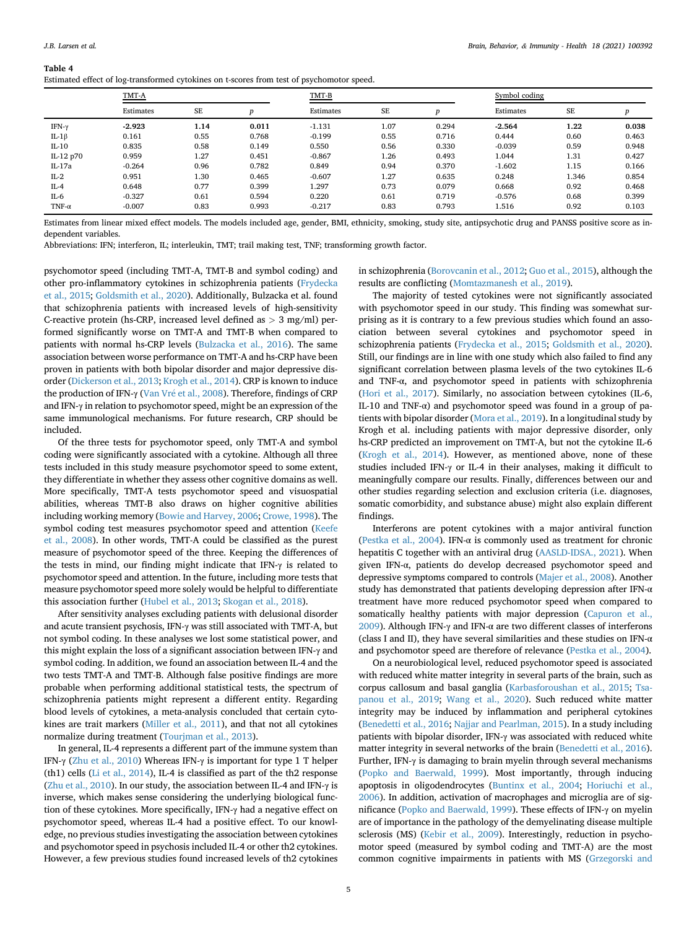<span id="page-4-0"></span>

|  |  | Estimated effect of log-transformed cytokines on t-scores from test of psychomotor speed. |  |
|--|--|-------------------------------------------------------------------------------------------|--|
|  |  |                                                                                           |  |

|               | TMT-A     |      |       | TMT-B     |      |       | Symbol coding |       |       |
|---------------|-----------|------|-------|-----------|------|-------|---------------|-------|-------|
|               | Estimates | SE   |       | Estimates | SE   | D     | Estimates     | SE    | D     |
| IFN- $\gamma$ | $-2.923$  | 1.14 | 0.011 | $-1.131$  | 1.07 | 0.294 | $-2.564$      | 1.22  | 0.038 |
| IL-1 $\beta$  | 0.161     | 0.55 | 0.768 | $-0.199$  | 0.55 | 0.716 | 0.444         | 0.60  | 0.463 |
| IL-10         | 0.835     | 0.58 | 0.149 | 0.550     | 0.56 | 0.330 | $-0.039$      | 0.59  | 0.948 |
| IL-12 p70     | 0.959     | 1.27 | 0.451 | $-0.867$  | 1.26 | 0.493 | 1.044         | 1.31  | 0.427 |
| IL-17a        | $-0.264$  | 0.96 | 0.782 | 0.849     | 0.94 | 0.370 | $-1.602$      | 1.15  | 0.166 |
| $IL-2$        | 0.951     | 1.30 | 0.465 | $-0.607$  | 1.27 | 0.635 | 0.248         | 1.346 | 0.854 |
| $IL-4$        | 0.648     | 0.77 | 0.399 | 1.297     | 0.73 | 0.079 | 0.668         | 0.92  | 0.468 |
| IL-6          | $-0.327$  | 0.61 | 0.594 | 0.220     | 0.61 | 0.719 | $-0.576$      | 0.68  | 0.399 |
| TNF- $\alpha$ | $-0.007$  | 0.83 | 0.993 | $-0.217$  | 0.83 | 0.793 | 1.516         | 0.92  | 0.103 |

Estimates from linear mixed effect models. The models included age, gender, BMI, ethnicity, smoking, study site, antipsychotic drug and PANSS positive score as independent variables.

Abbreviations: IFN; interferon, IL; interleukin, TMT; trail making test, TNF; transforming growth factor.

psychomotor speed (including TMT-A, TMT-B and symbol coding) and other pro-inflammatory cytokines in schizophrenia patients [\(Frydecka](#page-6-18) [et al., 2015](#page-6-18); [Goldsmith et al., 2020](#page-6-19)). Additionally, Bulzacka et al. found that schizophrenia patients with increased levels of high-sensitivity C-reactive protein (hs-CRP, increased level defined as > 3 mg/ml) performed significantly worse on TMT-A and TMT-B when compared to patients with normal hs-CRP levels [\(Bulzacka et al., 2016\)](#page-5-5). The same association between worse performance on TMT-A and hs-CRP have been proven in patients with both bipolar disorder and major depressive disorder [\(Dickerson et al., 2013;](#page-6-27) [Krogh et al., 2014\)](#page-6-28). CRP is known to induce the production of IFN-γ ([Van Vr](#page-7-4)é et al., 2008). Therefore, findings of CRP and IFN-γ in relation to psychomotor speed, might be an expression of the same immunological mechanisms. For future research, CRP should be included.

Of the three tests for psychomotor speed, only TMT-A and symbol coding were significantly associated with a cytokine. Although all three tests included in this study measure psychomotor speed to some extent, they differentiate in whether they assess other cognitive domains as well. More specifically, TMT-A tests psychomotor speed and visuospatial abilities, whereas TMT-B also draws on higher cognitive abilities including working memory [\(Bowie and Harvey, 2006;](#page-5-3) [Crowe, 1998\)](#page-6-25). The symbol coding test measures psychomotor speed and attention [\(Keefe](#page-6-26) [et al., 2008](#page-6-26)). In other words, TMT-A could be classified as the purest measure of psychomotor speed of the three. Keeping the differences of the tests in mind, our finding might indicate that IFN-γ is related to psychomotor speed and attention. In the future, including more tests that measure psychomotor speed more solely would be helpful to differentiate this association further [\(Hubel et al., 2013](#page-6-29); [Skogan et al., 2018](#page-6-30)).

After sensitivity analyses excluding patients with delusional disorder and acute transient psychosis, IFN-γ was still associated with TMT-A, but not symbol coding. In these analyses we lost some statistical power, and this might explain the loss of a significant association between IFN-γ and symbol coding. In addition, we found an association between IL-4 and the two tests TMT-A and TMT-B. Although false positive findings are more probable when performing additional statistical tests, the spectrum of schizophrenia patients might represent a different entity. Regarding blood levels of cytokines, a meta-analysis concluded that certain cytokines are trait markers [\(Miller et al., 2011](#page-6-15)), and that not all cytokines normalize during treatment [\(Tourjman et al., 2013\)](#page-6-31).

In general, IL-4 represents a different part of the immune system than IFN-γ ([Zhu et al., 2010\)](#page-7-5) Whereas IFN-γ is important for type 1 T helper (th1) cells ([Li et al., 2014](#page-6-32)), IL-4 is classified as part of the th2 response ([Zhu et al., 2010\)](#page-7-5). In our study, the association between IL-4 and IFN-γ is inverse, which makes sense considering the underlying biological function of these cytokines. More specifically, IFN-γ had a negative effect on psychomotor speed, whereas IL-4 had a positive effect. To our knowledge, no previous studies investigating the association between cytokines and psychomotor speed in psychosis included IL-4 or other th2 cytokines. However, a few previous studies found increased levels of th2 cytokines in schizophrenia [\(Borovcanin et al., 2012](#page-5-6); [Guo et al., 2015\)](#page-6-33), although the results are conflicting [\(Momtazmanesh et al., 2019\)](#page-6-16).

The majority of tested cytokines were not significantly associated with psychomotor speed in our study. This finding was somewhat surprising as it is contrary to a few previous studies which found an association between several cytokines and psychomotor speed in schizophrenia patients ([Frydecka et al., 2015](#page-6-18); [Goldsmith et al., 2020\)](#page-6-19). Still, our findings are in line with one study which also failed to find any significant correlation between plasma levels of the two cytokines IL-6 and TNF-α, and psychomotor speed in patients with schizophrenia ([Hori et al., 2017](#page-6-20)). Similarly, no association between cytokines (IL-6, IL-10 and TNF- $\alpha$ ) and psychomotor speed was found in a group of patients with bipolar disorder ([Mora et al., 2019](#page-6-34)). In a longitudinal study by Krogh et al. including patients with major depressive disorder, only hs-CRP predicted an improvement on TMT-A, but not the cytokine IL-6 ([Krogh et al., 2014\)](#page-6-28). However, as mentioned above, none of these studies included IFN-γ or IL-4 in their analyses, making it difficult to meaningfully compare our results. Finally, differences between our and other studies regarding selection and exclusion criteria (i.e. diagnoses, somatic comorbidity, and substance abuse) might also explain different findings.

Interferons are potent cytokines with a major antiviral function ([Pestka et al., 2004](#page-6-35)). IFN- $\alpha$  is commonly used as treatment for chronic hepatitis C together with an antiviral drug ([AASLD-IDSA., 2021\)](#page-5-7). When given IFN-α, patients do develop decreased psychomotor speed and depressive symptoms compared to controls ([Majer et al., 2008](#page-6-36)). Another study has demonstrated that patients developing depression after IFN-α treatment have more reduced psychomotor speed when compared to somatically healthy patients with major depression [\(Capuron et al.,](#page-6-37) [2009\)](#page-6-37). Although IFN-γ and IFN-α are two different classes of interferons (class I and II), they have several similarities and these studies on IFN- $\alpha$ and psychomotor speed are therefore of relevance [\(Pestka et al., 2004\)](#page-6-35).

On a neurobiological level, reduced psychomotor speed is associated with reduced white matter integrity in several parts of the brain, such as corpus callosum and basal ganglia [\(Karbasforoushan et al., 2015](#page-6-5); [Tsa](#page-7-2)[panou et al., 2019](#page-7-2); [Wang et al., 2020\)](#page-7-1). Such reduced white matter integrity may be induced by inflammation and peripheral cytokines ([Benedetti et al., 2016;](#page-5-8) [Najjar and Pearlman, 2015\)](#page-6-7). In a study including patients with bipolar disorder, IFN-γ was associated with reduced white matter integrity in several networks of the brain [\(Benedetti et al., 2016\)](#page-5-8). Further, IFN-γ is damaging to brain myelin through several mechanisms ([Popko and Baerwald, 1999\)](#page-6-38). Most importantly, through inducing apoptosis in oligodendrocytes ([Buntinx et al., 2004](#page-5-9); [Horiuchi et al.,](#page-6-39) [2006\)](#page-6-39). In addition, activation of macrophages and microglia are of significance [\(Popko and Baerwald, 1999\)](#page-6-38). These effects of IFN-γ on myelin are of importance in the pathology of the demyelinating disease multiple sclerosis (MS) [\(Kebir et al., 2009](#page-6-40)). Interestingly, reduction in psychomotor speed (measured by symbol coding and TMT-A) are the most common cognitive impairments in patients with MS ([Grzegorski and](#page-6-41)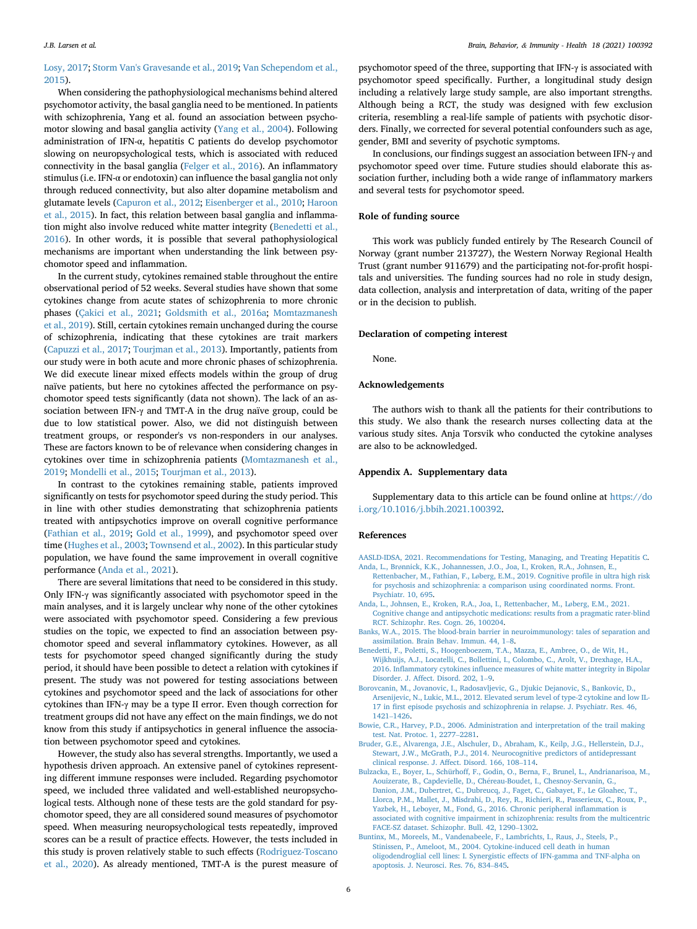# [Losy, 2017](#page-6-41); [Storm Van's Gravesande et al., 2019;](#page-6-42) [Van Schependom et al.,](#page-7-6) [2015\)](#page-7-6).

When considering the pathophysiological mechanisms behind altered psychomotor activity, the basal ganglia need to be mentioned. In patients with schizophrenia, Yang et al. found an association between psychomotor slowing and basal ganglia activity [\(Yang et al., 2004](#page-7-7)). Following administration of IFN-α, hepatitis C patients do develop psychomotor slowing on neuropsychological tests, which is associated with reduced connectivity in the basal ganglia [\(Felger et al., 2016](#page-6-6)). An inflammatory stimulus (i.e. IFN-α or endotoxin) can influence the basal ganglia not only through reduced connectivity, but also alter dopamine metabolism and glutamate levels ([Capuron et al., 2012](#page-6-11); [Eisenberger et al., 2010](#page-6-43); [Haroon](#page-6-44) [et al., 2015\)](#page-6-44). In fact, this relation between basal ganglia and inflammation might also involve reduced white matter integrity ([Benedetti et al.,](#page-5-8) [2016\)](#page-5-8). In other words, it is possible that several pathophysiological mechanisms are important when understanding the link between psychomotor speed and inflammation.

In the current study, cytokines remained stable throughout the entire observational period of 52 weeks. Several studies have shown that some cytokines change from acute states of schizophrenia to more chronic phases [\(Çakici et al., 2021](#page-6-45); [Goldsmith et al., 2016a;](#page-6-46) [Momtazmanesh](#page-6-16) [et al., 2019](#page-6-16)). Still, certain cytokines remain unchanged during the course of schizophrenia, indicating that these cytokines are trait markers ([Capuzzi et al., 2017;](#page-6-47) [Tourjman et al., 2013](#page-6-31)). Importantly, patients from our study were in both acute and more chronic phases of schizophrenia. We did execute linear mixed effects models within the group of drug naïve patients, but here no cytokines affected the performance on psychomotor speed tests significantly (data not shown). The lack of an association between IFN- $\gamma$  and TMT-A in the drug naïve group, could be due to low statistical power. Also, we did not distinguish between treatment groups, or responder's vs non-responders in our analyses. These are factors known to be of relevance when considering changes in cytokines over time in schizophrenia patients [\(Momtazmanesh et al.,](#page-6-16) [2019;](#page-6-16) [Mondelli et al., 2015](#page-6-48); [Tourjman et al., 2013](#page-6-31)).

In contrast to the cytokines remaining stable, patients improved significantly on tests for psychomotor speed during the study period. This in line with other studies demonstrating that schizophrenia patients treated with antipsychotics improve on overall cognitive performance ([Fathian et al., 2019](#page-6-49); [Gold et al., 1999\)](#page-6-50), and psychomotor speed over time ([Hughes et al., 2003](#page-6-51); [Townsend et al., 2002](#page-6-52)). In this particular study population, we have found the same improvement in overall cognitive performance ([Anda et al., 2021](#page-5-10)).

There are several limitations that need to be considered in this study. Only IFN-γ was significantly associated with psychomotor speed in the main analyses, and it is largely unclear why none of the other cytokines were associated with psychomotor speed. Considering a few previous studies on the topic, we expected to find an association between psychomotor speed and several inflammatory cytokines. However, as all tests for psychomotor speed changed significantly during the study period, it should have been possible to detect a relation with cytokines if present. The study was not powered for testing associations between cytokines and psychomotor speed and the lack of associations for other cytokines than IFN-γ may be a type II error. Even though correction for treatment groups did not have any effect on the main findings, we do not know from this study if antipsychotics in general influence the association between psychomotor speed and cytokines.

However, the study also has several strengths. Importantly, we used a hypothesis driven approach. An extensive panel of cytokines representing different immune responses were included. Regarding psychomotor speed, we included three validated and well-established neuropsychological tests. Although none of these tests are the gold standard for psychomotor speed, they are all considered sound measures of psychomotor speed. When measuring neuropsychological tests repeatedly, improved scores can be a result of practice effects. However, the tests included in this study is proven relatively stable to such effects [\(Rodriguez-Toscano](#page-6-53) [et al., 2020\)](#page-6-53). As already mentioned, TMT-A is the purest measure of psychomotor speed of the three, supporting that IFN-γ is associated with psychomotor speed specifically. Further, a longitudinal study design including a relatively large study sample, are also important strengths. Although being a RCT, the study was designed with few exclusion criteria, resembling a real-life sample of patients with psychotic disorders. Finally, we corrected for several potential confounders such as age, gender, BMI and severity of psychotic symptoms.

In conclusions, our findings suggest an association between IFN-γ and psychomotor speed over time. Future studies should elaborate this association further, including both a wide range of inflammatory markers and several tests for psychomotor speed.

# Role of funding source

This work was publicly funded entirely by The Research Council of Norway (grant number 213727), the Western Norway Regional Health Trust (grant number 911679) and the participating not-for-profit hospitals and universities. The funding sources had no role in study design, data collection, analysis and interpretation of data, writing of the paper or in the decision to publish.

# Declaration of competing interest

None.

# Acknowledgements

The authors wish to thank all the patients for their contributions to this study. We also thank the research nurses collecting data at the various study sites. Anja Torsvik who conducted the cytokine analyses are also to be acknowledged.

#### Appendix A. Supplementary data

Supplementary data to this article can be found online at [https://do](https://doi.org/10.1016/j.bbih.2021.100392) [i.org/10.1016/j.bbih.2021.100392.](https://doi.org/10.1016/j.bbih.2021.100392)

#### <span id="page-5-7"></span><span id="page-5-4"></span>References

- <span id="page-5-1"></span>[AASLD-IDSA, 2021. Recommendations for Testing, Managing, and Treating Hepatitis C](http://refhub.elsevier.com/S2666-3546(21)00195-2/sref1).
- Anda, L., Brø[nnick, K.K., Johannessen, J.O., Joa, I., Kroken, R.A., Johnsen, E.,](http://refhub.elsevier.com/S2666-3546(21)00195-2/sref2) Rettenbacher, M., Fathian, F., Lø[berg, E.M., 2019. Cognitive pro](http://refhub.elsevier.com/S2666-3546(21)00195-2/sref2)file in ultra high risk [for psychosis and schizophrenia: a comparison using coordinated norms. Front.](http://refhub.elsevier.com/S2666-3546(21)00195-2/sref2) [Psychiatr. 10, 695.](http://refhub.elsevier.com/S2666-3546(21)00195-2/sref2)
- <span id="page-5-10"></span><span id="page-5-2"></span>[Anda, L., Johnsen, E., Kroken, R.A., Joa, I., Rettenbacher, M., L](http://refhub.elsevier.com/S2666-3546(21)00195-2/sref3)øberg, E.M., 2021. [Cognitive change and antipsychotic medications: results from a pragmatic rater-blind](http://refhub.elsevier.com/S2666-3546(21)00195-2/sref3) [RCT. Schizophr. Res. Cogn. 26, 100204](http://refhub.elsevier.com/S2666-3546(21)00195-2/sref3).
- <span id="page-5-8"></span>[Banks, W.A., 2015. The blood-brain barrier in neuroimmunology: tales of separation and](http://refhub.elsevier.com/S2666-3546(21)00195-2/sref4) [assimilation. Brain Behav. Immun. 44, 1](http://refhub.elsevier.com/S2666-3546(21)00195-2/sref4)–[8](http://refhub.elsevier.com/S2666-3546(21)00195-2/sref4).
- [Benedetti, F., Poletti, S., Hoogenboezem, T.A., Mazza, E., Ambree, O., de Wit, H.,](http://refhub.elsevier.com/S2666-3546(21)00195-2/sref5) [Wijkhuijs, A.J., Locatelli, C., Bollettini, I., Colombo, C., Arolt, V., Drexhage, H.A.,](http://refhub.elsevier.com/S2666-3546(21)00195-2/sref5) 2016. Inflammatory cytokines infl[uence measures of white matter integrity in Bipolar](http://refhub.elsevier.com/S2666-3546(21)00195-2/sref5) [Disorder. J. Affect. Disord. 202, 1](http://refhub.elsevier.com/S2666-3546(21)00195-2/sref5)–[9.](http://refhub.elsevier.com/S2666-3546(21)00195-2/sref5)
- <span id="page-5-6"></span>[Borovcanin, M., Jovanovic, I., Radosavljevic, G., Djukic Dejanovic, S., Bankovic, D.,](http://refhub.elsevier.com/S2666-3546(21)00195-2/sref6) [Arsenijevic, N., Lukic, M.L., 2012. Elevated serum level of type-2 cytokine and low IL-](http://refhub.elsevier.com/S2666-3546(21)00195-2/sref6)17 in fi[rst episode psychosis and schizophrenia in relapse. J. Psychiatr. Res. 46,](http://refhub.elsevier.com/S2666-3546(21)00195-2/sref6) [1421](http://refhub.elsevier.com/S2666-3546(21)00195-2/sref6)–[1426](http://refhub.elsevier.com/S2666-3546(21)00195-2/sref6).
- <span id="page-5-3"></span><span id="page-5-0"></span>[Bowie, C.R., Harvey, P.D., 2006. Administration and interpretation of the trail making](http://refhub.elsevier.com/S2666-3546(21)00195-2/sref7) [test. Nat. Protoc. 1, 2277](http://refhub.elsevier.com/S2666-3546(21)00195-2/sref7)–[2281](http://refhub.elsevier.com/S2666-3546(21)00195-2/sref7).
- <span id="page-5-5"></span>[Bruder, G.E., Alvarenga, J.E., Alschuler, D., Abraham, K., Keilp, J.G., Hellerstein, D.J.,](http://refhub.elsevier.com/S2666-3546(21)00195-2/sref8) [Stewart, J.W., McGrath, P.J., 2014. Neurocognitive predictors of antidepressant](http://refhub.elsevier.com/S2666-3546(21)00195-2/sref8) [clinical response. J. Affect. Disord. 166, 108](http://refhub.elsevier.com/S2666-3546(21)00195-2/sref8)–[114.](http://refhub.elsevier.com/S2666-3546(21)00195-2/sref8)
- [Bulzacka, E., Boyer, L., Schürhoff, F., Godin, O., Berna, F., Brunel, L., Andrianarisoa, M.,](http://refhub.elsevier.com/S2666-3546(21)00195-2/sref9) [Aouizerate, B., Capdevielle, D., Ch](http://refhub.elsevier.com/S2666-3546(21)00195-2/sref9)éreau-Boudet, I., Chesnoy-Servanin, G., [Danion, J.M., Dubertret, C., Dubreucq, J., Faget, C., Gabayet, F., Le Gloahec, T.,](http://refhub.elsevier.com/S2666-3546(21)00195-2/sref9) [Llorca, P.M., Mallet, J., Misdrahi, D., Rey, R., Richieri, R., Passerieux, C., Roux, P.,](http://refhub.elsevier.com/S2666-3546(21)00195-2/sref9) [Yazbek, H., Leboyer, M., Fond, G., 2016. Chronic peripheral in](http://refhub.elsevier.com/S2666-3546(21)00195-2/sref9)flammation is [associated with cognitive impairment in schizophrenia: results from the multicentric](http://refhub.elsevier.com/S2666-3546(21)00195-2/sref9) [FACE-SZ dataset. Schizophr. Bull. 42, 1290](http://refhub.elsevier.com/S2666-3546(21)00195-2/sref9)–[1302](http://refhub.elsevier.com/S2666-3546(21)00195-2/sref9).
- <span id="page-5-9"></span>[Buntinx, M., Moreels, M., Vandenabeele, F., Lambrichts, I., Raus, J., Steels, P.,](http://refhub.elsevier.com/S2666-3546(21)00195-2/sref10) [Stinissen, P., Ameloot, M., 2004. Cytokine-induced cell death in human](http://refhub.elsevier.com/S2666-3546(21)00195-2/sref10) [oligodendroglial cell lines: I. Synergistic effects of IFN-gamma and TNF-alpha on](http://refhub.elsevier.com/S2666-3546(21)00195-2/sref10) [apoptosis. J. Neurosci. Res. 76, 834](http://refhub.elsevier.com/S2666-3546(21)00195-2/sref10)–[845](http://refhub.elsevier.com/S2666-3546(21)00195-2/sref10).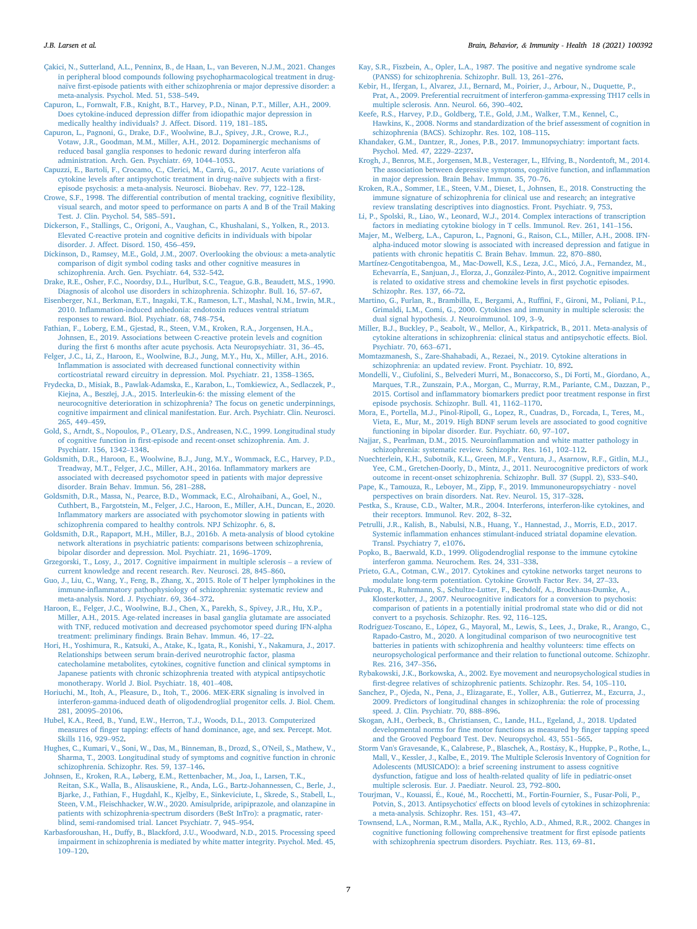- <span id="page-6-37"></span>[Capuron, L., Fornwalt, F.B., Knight, B.T., Harvey, P.D., Ninan, P.T., Miller, A.H., 2009.](http://refhub.elsevier.com/S2666-3546(21)00195-2/sref12) [Does cytokine-induced depression differ from idiopathic major depression in](http://refhub.elsevier.com/S2666-3546(21)00195-2/sref12) [medically healthy individuals? J. Affect. Disord. 119, 181](http://refhub.elsevier.com/S2666-3546(21)00195-2/sref12)–[185.](http://refhub.elsevier.com/S2666-3546(21)00195-2/sref12)
- <span id="page-6-11"></span>[Capuron, L., Pagnoni, G., Drake, D.F., Woolwine, B.J., Spivey, J.R., Crowe, R.J.,](http://refhub.elsevier.com/S2666-3546(21)00195-2/sref13) [Votaw, J.R., Goodman, M.M., Miller, A.H., 2012. Dopaminergic mechanisms of](http://refhub.elsevier.com/S2666-3546(21)00195-2/sref13) [reduced basal ganglia responses to hedonic reward during interferon alfa](http://refhub.elsevier.com/S2666-3546(21)00195-2/sref13) [administration. Arch. Gen. Psychiatr. 69, 1044](http://refhub.elsevier.com/S2666-3546(21)00195-2/sref13)–[1053](http://refhub.elsevier.com/S2666-3546(21)00195-2/sref13).
- <span id="page-6-47"></span>[Capuzzi, E., Bartoli, F., Crocamo, C., Clerici, M., Carr](http://refhub.elsevier.com/S2666-3546(21)00195-2/sref14)[a, G., 2017. Acute variations of](http://refhub.elsevier.com/S2666-3546(21)00195-2/sref14) [cytokine levels after antipsychotic treatment in drug-naïve subjects with a](http://refhub.elsevier.com/S2666-3546(21)00195-2/sref14) first[episode psychosis: a meta-analysis. Neurosci. Biobehav. Rev. 77, 122](http://refhub.elsevier.com/S2666-3546(21)00195-2/sref14)–[128.](http://refhub.elsevier.com/S2666-3546(21)00195-2/sref14)
- <span id="page-6-25"></span>[Crowe, S.F., 1998. The differential contribution of mental tracking, cognitive](http://refhub.elsevier.com/S2666-3546(21)00195-2/sref15) flexibility, [visual search, and motor speed to performance on parts A and B of the Trail Making](http://refhub.elsevier.com/S2666-3546(21)00195-2/sref15) [Test. J. Clin. Psychol. 54, 585](http://refhub.elsevier.com/S2666-3546(21)00195-2/sref15)–[591](http://refhub.elsevier.com/S2666-3546(21)00195-2/sref15).
- <span id="page-6-27"></span>[Dickerson, F., Stallings, C., Origoni, A., Vaughan, C., Khushalani, S., Yolken, R., 2013.](http://refhub.elsevier.com/S2666-3546(21)00195-2/sref16) [Elevated C-reactive protein and cognitive de](http://refhub.elsevier.com/S2666-3546(21)00195-2/sref16)ficits in individuals with bipolar [disorder. J. Affect. Disord. 150, 456](http://refhub.elsevier.com/S2666-3546(21)00195-2/sref16)–[459](http://refhub.elsevier.com/S2666-3546(21)00195-2/sref16).
- <span id="page-6-0"></span>[Dickinson, D., Ramsey, M.E., Gold, J.M., 2007. Overlooking the obvious: a meta-analytic](http://refhub.elsevier.com/S2666-3546(21)00195-2/sref17) [comparison of digit symbol coding tasks and other cognitive measures in](http://refhub.elsevier.com/S2666-3546(21)00195-2/sref17) [schizophrenia. Arch. Gen. Psychiatr. 64, 532](http://refhub.elsevier.com/S2666-3546(21)00195-2/sref17)–[542.](http://refhub.elsevier.com/S2666-3546(21)00195-2/sref17)
- <span id="page-6-24"></span>[Drake, R.E., Osher, F.C., Noordsy, D.L., Hurlbut, S.C., Teague, G.B., Beaudett, M.S., 1990.](http://refhub.elsevier.com/S2666-3546(21)00195-2/sref18) [Diagnosis of alcohol use disorders in schizophrenia. Schizophr. Bull. 16, 57](http://refhub.elsevier.com/S2666-3546(21)00195-2/sref18)–[67](http://refhub.elsevier.com/S2666-3546(21)00195-2/sref18).
- <span id="page-6-43"></span>[Eisenberger, N.I., Berkman, E.T., Inagaki, T.K., Rameson, L.T., Mashal, N.M., Irwin, M.R.,](http://refhub.elsevier.com/S2666-3546(21)00195-2/sref19) 2010. Infl[ammation-induced anhedonia: endotoxin reduces ventral striatum](http://refhub.elsevier.com/S2666-3546(21)00195-2/sref19) [responses to reward. Biol. Psychiatr. 68, 748](http://refhub.elsevier.com/S2666-3546(21)00195-2/sref19)–[754](http://refhub.elsevier.com/S2666-3546(21)00195-2/sref19).
- <span id="page-6-49"></span>[Fathian, F., Loberg, E.M., Gjestad, R., Steen, V.M., Kroken, R.A., Jorgensen, H.A.,](http://refhub.elsevier.com/S2666-3546(21)00195-2/sref20) [Johnsen, E., 2019. Associations between C-reactive protein levels and cognition](http://refhub.elsevier.com/S2666-3546(21)00195-2/sref20) during the fi[rst 6 months after acute psychosis. Acta Neuropsychiatr. 31, 36](http://refhub.elsevier.com/S2666-3546(21)00195-2/sref20)–[45](http://refhub.elsevier.com/S2666-3546(21)00195-2/sref20).
- <span id="page-6-6"></span>[Felger, J.C., Li, Z., Haroon, E., Woolwine, B.J., Jung, M.Y., Hu, X., Miller, A.H., 2016.](http://refhub.elsevier.com/S2666-3546(21)00195-2/sref21) Infl[ammation is associated with decreased functional connectivity within](http://refhub.elsevier.com/S2666-3546(21)00195-2/sref21) [corticostriatal reward circuitry in depression. Mol. Psychiatr. 21, 1358](http://refhub.elsevier.com/S2666-3546(21)00195-2/sref21)–[1365.](http://refhub.elsevier.com/S2666-3546(21)00195-2/sref21)
- <span id="page-6-18"></span>[Frydecka, D., Misiak, B., Pawlak-Adamska, E., Karabon, L., Tomkiewicz, A., Sedlaczek, P.,](http://refhub.elsevier.com/S2666-3546(21)00195-2/sref22) Kiejna, A., Beszł[ej, J.A., 2015. Interleukin-6: the missing element of the](http://refhub.elsevier.com/S2666-3546(21)00195-2/sref22) [neurocognitive deterioration in schizophrenia? The focus on genetic underpinnings,](http://refhub.elsevier.com/S2666-3546(21)00195-2/sref22) [cognitive impairment and clinical manifestation. Eur. Arch. Psychiatr. Clin. Neurosci.](http://refhub.elsevier.com/S2666-3546(21)00195-2/sref22) [265, 449](http://refhub.elsevier.com/S2666-3546(21)00195-2/sref22)–[459.](http://refhub.elsevier.com/S2666-3546(21)00195-2/sref22)
- <span id="page-6-50"></span>[Gold, S., Arndt, S., Nopoulos, P., O'Leary, D.S., Andreasen, N.C., 1999. Longitudinal study](http://refhub.elsevier.com/S2666-3546(21)00195-2/sref23) of cognitive function in fi[rst-episode and recent-onset schizophrenia. Am. J.](http://refhub.elsevier.com/S2666-3546(21)00195-2/sref23) [Psychiatr. 156, 1342](http://refhub.elsevier.com/S2666-3546(21)00195-2/sref23)–[1348.](http://refhub.elsevier.com/S2666-3546(21)00195-2/sref23)
- <span id="page-6-46"></span>[Goldsmith, D.R., Haroon, E., Woolwine, B.J., Jung, M.Y., Wommack, E.C., Harvey, P.D.,](http://refhub.elsevier.com/S2666-3546(21)00195-2/sref24) [Treadway, M.T., Felger, J.C., Miller, A.H., 2016a. In](http://refhub.elsevier.com/S2666-3546(21)00195-2/sref24)flammatory markers are [associated with decreased psychomotor speed in patients with major depressive](http://refhub.elsevier.com/S2666-3546(21)00195-2/sref24) [disorder. Brain Behav. Immun. 56, 281](http://refhub.elsevier.com/S2666-3546(21)00195-2/sref24)–[288](http://refhub.elsevier.com/S2666-3546(21)00195-2/sref24).
- <span id="page-6-19"></span>[Goldsmith, D.R., Massa, N., Pearce, B.D., Wommack, E.C., Alrohaibani, A., Goel, N.,](http://refhub.elsevier.com/S2666-3546(21)00195-2/sref25) [Cuthbert, B., Fargotstein, M., Felger, J.C., Haroon, E., Miller, A.H., Duncan, E., 2020.](http://refhub.elsevier.com/S2666-3546(21)00195-2/sref25) Infl[ammatory markers are associated with psychomotor slowing in patients with](http://refhub.elsevier.com/S2666-3546(21)00195-2/sref25) [schizophrenia compared to healthy controls. NPJ Schizophr. 6, 8.](http://refhub.elsevier.com/S2666-3546(21)00195-2/sref25)
- <span id="page-6-14"></span>[Goldsmith, D.R., Rapaport, M.H., Miller, B.J., 2016b. A meta-analysis of blood cytokine](http://refhub.elsevier.com/S2666-3546(21)00195-2/sref26) [network alterations in psychiatric patients: comparisons between schizophrenia,](http://refhub.elsevier.com/S2666-3546(21)00195-2/sref26) [bipolar disorder and depression. Mol. Psychiatr. 21, 1696](http://refhub.elsevier.com/S2666-3546(21)00195-2/sref26)–[1709](http://refhub.elsevier.com/S2666-3546(21)00195-2/sref26).
- <span id="page-6-41"></span>[Grzegorski, T., Losy, J., 2017. Cognitive impairment in multiple sclerosis](http://refhub.elsevier.com/S2666-3546(21)00195-2/sref27) – [a review of](http://refhub.elsevier.com/S2666-3546(21)00195-2/sref27) [current knowledge and recent research. Rev. Neurosci. 28, 845](http://refhub.elsevier.com/S2666-3546(21)00195-2/sref27)–[860](http://refhub.elsevier.com/S2666-3546(21)00195-2/sref27).
- <span id="page-6-33"></span>[Guo, J., Liu, C., Wang, Y., Feng, B., Zhang, X., 2015. Role of T helper lymphokines in the](http://refhub.elsevier.com/S2666-3546(21)00195-2/sref28) immune-infl[ammatory pathophysiology of schizophrenia: systematic review and](http://refhub.elsevier.com/S2666-3546(21)00195-2/sref28) [meta-analysis. Nord. J. Psychiatr. 69, 364](http://refhub.elsevier.com/S2666-3546(21)00195-2/sref28)–[372.](http://refhub.elsevier.com/S2666-3546(21)00195-2/sref28)
- <span id="page-6-44"></span>[Haroon, E., Felger, J.C., Woolwine, B.J., Chen, X., Parekh, S., Spivey, J.R., Hu, X.P.,](http://refhub.elsevier.com/S2666-3546(21)00195-2/sref29) [Miller, A.H., 2015. Age-related increases in basal ganglia glutamate are associated](http://refhub.elsevier.com/S2666-3546(21)00195-2/sref29) [with TNF, reduced motivation and decreased psychomotor speed during IFN-alpha](http://refhub.elsevier.com/S2666-3546(21)00195-2/sref29) treatment: preliminary fi[ndings. Brain Behav. Immun. 46, 17](http://refhub.elsevier.com/S2666-3546(21)00195-2/sref29)–[22](http://refhub.elsevier.com/S2666-3546(21)00195-2/sref29).
- <span id="page-6-20"></span>[Hori, H., Yoshimura, R., Katsuki, A., Atake, K., Igata, R., Konishi, Y., Nakamura, J., 2017.](http://refhub.elsevier.com/S2666-3546(21)00195-2/sref30) [Relationships between serum brain-derived neurotrophic factor, plasma](http://refhub.elsevier.com/S2666-3546(21)00195-2/sref30) [catecholamine metabolites, cytokines, cognitive function and clinical symptoms in](http://refhub.elsevier.com/S2666-3546(21)00195-2/sref30) [Japanese patients with chronic schizophrenia treated with atypical antipsychotic](http://refhub.elsevier.com/S2666-3546(21)00195-2/sref30) [monotherapy. World J. Biol. Psychiatr. 18, 401](http://refhub.elsevier.com/S2666-3546(21)00195-2/sref30)–[408](http://refhub.elsevier.com/S2666-3546(21)00195-2/sref30).
- <span id="page-6-39"></span>[Horiuchi, M., Itoh, A., Pleasure, D., Itoh, T., 2006. MEK-ERK signaling is involved in](http://refhub.elsevier.com/S2666-3546(21)00195-2/sref31) [interferon-gamma-induced death of oligodendroglial progenitor cells. J. Biol. Chem.](http://refhub.elsevier.com/S2666-3546(21)00195-2/sref31) [281, 20095](http://refhub.elsevier.com/S2666-3546(21)00195-2/sref31)–[20106](http://refhub.elsevier.com/S2666-3546(21)00195-2/sref31).
- <span id="page-6-29"></span>[Hubel, K.A., Reed, B., Yund, E.W., Herron, T.J., Woods, D.L., 2013. Computerized](http://refhub.elsevier.com/S2666-3546(21)00195-2/sref32) measures of fi[nger tapping: effects of hand dominance, age, and sex. Percept. Mot.](http://refhub.elsevier.com/S2666-3546(21)00195-2/sref32) [Skills 116, 929](http://refhub.elsevier.com/S2666-3546(21)00195-2/sref32)–[952.](http://refhub.elsevier.com/S2666-3546(21)00195-2/sref32)
- <span id="page-6-51"></span>[Hughes, C., Kumari, V., Soni, W., Das, M., Binneman, B., Drozd, S., O'Neil, S., Mathew, V.,](http://refhub.elsevier.com/S2666-3546(21)00195-2/sref33) [Sharma, T., 2003. Longitudinal study of symptoms and cognitive function in chronic](http://refhub.elsevier.com/S2666-3546(21)00195-2/sref33) [schizophrenia. Schizophr. Res. 59, 137](http://refhub.elsevier.com/S2666-3546(21)00195-2/sref33)–[146](http://refhub.elsevier.com/S2666-3546(21)00195-2/sref33).
- <span id="page-6-22"></span>Johnsen, E., Kroken, R.A., Lø[berg, E.M., Rettenbacher, M., Joa, I., Larsen, T.K.,](http://refhub.elsevier.com/S2666-3546(21)00195-2/sref34) [Reitan, S.K., Walla, B., Alisauskiene, R., Anda, L.G., Bartz-Johannessen, C., Berle, J.,](http://refhub.elsevier.com/S2666-3546(21)00195-2/sref34) [Bjarke, J., Fathian, F., Hugdahl, K., Kjelby, E., Sinkeviciute, I., Skrede, S., Stabell, L.,](http://refhub.elsevier.com/S2666-3546(21)00195-2/sref34) [Steen, V.M., Fleischhacker, W.W., 2020. Amisulpride, aripiprazole, and olanzapine in](http://refhub.elsevier.com/S2666-3546(21)00195-2/sref34) [patients with schizophrenia-spectrum disorders \(BeSt InTro\): a pragmatic, rater](http://refhub.elsevier.com/S2666-3546(21)00195-2/sref34)[blind, semi-randomised trial. Lancet Psychiatr. 7, 945](http://refhub.elsevier.com/S2666-3546(21)00195-2/sref34)–[954](http://refhub.elsevier.com/S2666-3546(21)00195-2/sref34).
- <span id="page-6-5"></span>[Karbasforoushan, H., Duffy, B., Blackford, J.U., Woodward, N.D., 2015. Processing speed](http://refhub.elsevier.com/S2666-3546(21)00195-2/sref35) [impairment in schizophrenia is mediated by white matter integrity. Psychol. Med. 45,](http://refhub.elsevier.com/S2666-3546(21)00195-2/sref35) [109](http://refhub.elsevier.com/S2666-3546(21)00195-2/sref35)–[120](http://refhub.elsevier.com/S2666-3546(21)00195-2/sref35).

# <span id="page-6-45"></span>J.B. Larsen et al. Brain, Behavior, & Immunity - Health 18 (2021) 100392

- <span id="page-6-23"></span>[Kay, S.R., Fiszbein, A., Opler, L.A., 1987. The positive and negative syndrome scale](http://refhub.elsevier.com/S2666-3546(21)00195-2/sref36) [\(PANSS\) for schizophrenia. Schizophr. Bull. 13, 261](http://refhub.elsevier.com/S2666-3546(21)00195-2/sref36)–[276.](http://refhub.elsevier.com/S2666-3546(21)00195-2/sref36)
- <span id="page-6-40"></span>[Kebir, H., Ifergan, I., Alvarez, J.I., Bernard, M., Poirier, J., Arbour, N., Duquette, P.,](http://refhub.elsevier.com/S2666-3546(21)00195-2/sref37) [Prat, A., 2009. Preferential recruitment of interferon-gamma-expressing TH17 cells in](http://refhub.elsevier.com/S2666-3546(21)00195-2/sref37) [multiple sclerosis. Ann. Neurol. 66, 390](http://refhub.elsevier.com/S2666-3546(21)00195-2/sref37)–[402](http://refhub.elsevier.com/S2666-3546(21)00195-2/sref37).
- <span id="page-6-26"></span>[Keefe, R.S., Harvey, P.D., Goldberg, T.E., Gold, J.M., Walker, T.M., Kennel, C.,](http://refhub.elsevier.com/S2666-3546(21)00195-2/sref38) [Hawkins, K., 2008. Norms and standardization of the brief assessment of cognition in](http://refhub.elsevier.com/S2666-3546(21)00195-2/sref38) [schizophrenia \(BACS\). Schizophr. Res. 102, 108](http://refhub.elsevier.com/S2666-3546(21)00195-2/sref38)–[115](http://refhub.elsevier.com/S2666-3546(21)00195-2/sref38).
- <span id="page-6-17"></span>[Khandaker, G.M., Dantzer, R., Jones, P.B., 2017. Immunopsychiatry: important facts.](http://refhub.elsevier.com/S2666-3546(21)00195-2/sref39) [Psychol. Med. 47, 2229](http://refhub.elsevier.com/S2666-3546(21)00195-2/sref39)–[2237.](http://refhub.elsevier.com/S2666-3546(21)00195-2/sref39)
- <span id="page-6-28"></span>[Krogh, J., Benros, M.E., Jorgensen, M.B., Vesterager, L., Elfving, B., Nordentoft, M., 2014.](http://refhub.elsevier.com/S2666-3546(21)00195-2/sref40) [The association between depressive symptoms, cognitive function, and in](http://refhub.elsevier.com/S2666-3546(21)00195-2/sref40)flammation [in major depression. Brain Behav. Immun. 35, 70](http://refhub.elsevier.com/S2666-3546(21)00195-2/sref40)–[76.](http://refhub.elsevier.com/S2666-3546(21)00195-2/sref40)
- <span id="page-6-12"></span>[Kroken, R.A., Sommer, I.E., Steen, V.M., Dieset, I., Johnsen, E., 2018. Constructing the](http://refhub.elsevier.com/S2666-3546(21)00195-2/sref41) [immune signature of schizophrenia for clinical use and research; an integrative](http://refhub.elsevier.com/S2666-3546(21)00195-2/sref41) [review translating descriptives into diagnostics. Front. Psychiatr. 9, 753.](http://refhub.elsevier.com/S2666-3546(21)00195-2/sref41)
- <span id="page-6-32"></span>[Li, P., Spolski, R., Liao, W., Leonard, W.J., 2014. Complex interactions of transcription](http://refhub.elsevier.com/S2666-3546(21)00195-2/sref42) [factors in mediating cytokine biology in T cells. Immunol. Rev. 261, 141](http://refhub.elsevier.com/S2666-3546(21)00195-2/sref42)–[156.](http://refhub.elsevier.com/S2666-3546(21)00195-2/sref42)
- <span id="page-6-36"></span>[Majer, M., Welberg, L.A., Capuron, L., Pagnoni, G., Raison, C.L., Miller, A.H., 2008. IFN](http://refhub.elsevier.com/S2666-3546(21)00195-2/sref43)[alpha-induced motor slowing is associated with increased depression and fatigue in](http://refhub.elsevier.com/S2666-3546(21)00195-2/sref43) [patients with chronic hepatitis C. Brain Behav. Immun. 22, 870](http://refhub.elsevier.com/S2666-3546(21)00195-2/sref43)–[880.](http://refhub.elsevier.com/S2666-3546(21)00195-2/sref43)
- <span id="page-6-21"></span>[Martínez-Cengotitabengoa, M., Mac-Dowell, K.S., Leza, J.C., Mico, J.A., Fernandez, M.,](http://refhub.elsevier.com/S2666-3546(21)00195-2/sref44) - [Echevarría, E., Sanjuan, J., Elorza, J., Gonz](http://refhub.elsevier.com/S2666-3546(21)00195-2/sref44)ález-Pinto, A., 2012. Cognitive impairment [is related to oxidative stress and chemokine levels in](http://refhub.elsevier.com/S2666-3546(21)00195-2/sref44) first psychotic episodes. [Schizophr. Res. 137, 66](http://refhub.elsevier.com/S2666-3546(21)00195-2/sref44)–[72](http://refhub.elsevier.com/S2666-3546(21)00195-2/sref44).
- <span id="page-6-9"></span>[Martino, G., Furlan, R., Brambilla, E., Bergami, A., Ruf](http://refhub.elsevier.com/S2666-3546(21)00195-2/sref45)fini, F., Gironi, M., Poliani, P.L., [Grimaldi, L.M., Comi, G., 2000. Cytokines and immunity in multiple sclerosis: the](http://refhub.elsevier.com/S2666-3546(21)00195-2/sref45) [dual signal hypothesis. J. Neuroimmunol. 109, 3](http://refhub.elsevier.com/S2666-3546(21)00195-2/sref45)–[9](http://refhub.elsevier.com/S2666-3546(21)00195-2/sref45).
- <span id="page-6-15"></span>[Miller, B.J., Buckley, P., Seabolt, W., Mellor, A., Kirkpatrick, B., 2011. Meta-analysis of](http://refhub.elsevier.com/S2666-3546(21)00195-2/sref46) [cytokine alterations in schizophrenia: clinical status and antipsychotic effects. Biol.](http://refhub.elsevier.com/S2666-3546(21)00195-2/sref46) [Psychiatr. 70, 663](http://refhub.elsevier.com/S2666-3546(21)00195-2/sref46)–[671.](http://refhub.elsevier.com/S2666-3546(21)00195-2/sref46)
- <span id="page-6-16"></span>[Momtazmanesh, S., Zare-Shahabadi, A., Rezaei, N., 2019. Cytokine alterations in](http://refhub.elsevier.com/S2666-3546(21)00195-2/sref47) [schizophrenia: an updated review. Front. Psychiatr. 10, 892](http://refhub.elsevier.com/S2666-3546(21)00195-2/sref47).
- <span id="page-6-48"></span>[Mondelli, V., Ciufolini, S., Belvederi Murri, M., Bonaccorso, S., Di Forti, M., Giordano, A.,](http://refhub.elsevier.com/S2666-3546(21)00195-2/sref48) [Marques, T.R., Zunszain, P.A., Morgan, C., Murray, R.M., Pariante, C.M., Dazzan, P.,](http://refhub.elsevier.com/S2666-3546(21)00195-2/sref48) 2015. Cortisol and infl[ammatory biomarkers predict poor treatment response in](http://refhub.elsevier.com/S2666-3546(21)00195-2/sref48) first [episode psychosis. Schizophr. Bull. 41, 1162](http://refhub.elsevier.com/S2666-3546(21)00195-2/sref48)–[1170.](http://refhub.elsevier.com/S2666-3546(21)00195-2/sref48)
- <span id="page-6-34"></span>[Mora, E., Portella, M.J., Pinol-Ripoll, G., Lopez, R., Cuadras, D., Forcada, I., Teres, M.,](http://refhub.elsevier.com/S2666-3546(21)00195-2/sref49) [Vieta, E., Mur, M., 2019. High BDNF serum levels are associated to good cognitive](http://refhub.elsevier.com/S2666-3546(21)00195-2/sref49) [functioning in bipolar disorder. Eur. Psychiatr. 60, 97](http://refhub.elsevier.com/S2666-3546(21)00195-2/sref49)–[107.](http://refhub.elsevier.com/S2666-3546(21)00195-2/sref49)
- <span id="page-6-7"></span>[Najjar, S., Pearlman, D.M., 2015. Neuroin](http://refhub.elsevier.com/S2666-3546(21)00195-2/sref50)flammation and white matter pathology in [schizophrenia: systematic review. Schizophr. Res. 161, 102](http://refhub.elsevier.com/S2666-3546(21)00195-2/sref50)–[112](http://refhub.elsevier.com/S2666-3546(21)00195-2/sref50).
- <span id="page-6-2"></span>[Nuechterlein, K.H., Subotnik, K.L., Green, M.F., Ventura, J., Asarnow, R.F., Gitlin, M.J.,](http://refhub.elsevier.com/S2666-3546(21)00195-2/sref51) [Yee, C.M., Gretchen-Doorly, D., Mintz, J., 2011. Neurocognitive predictors of work](http://refhub.elsevier.com/S2666-3546(21)00195-2/sref51) [outcome in recent-onset schizophrenia. Schizophr. Bull. 37 \(Suppl. 2\), S33](http://refhub.elsevier.com/S2666-3546(21)00195-2/sref51)–[S40.](http://refhub.elsevier.com/S2666-3546(21)00195-2/sref51)
- <span id="page-6-13"></span>[Pape, K., Tamouza, R., Leboyer, M., Zipp, F., 2019. Immunoneuropsychiatry - novel](http://refhub.elsevier.com/S2666-3546(21)00195-2/sref52) [perspectives on brain disorders. Nat. Rev. Neurol. 15, 317](http://refhub.elsevier.com/S2666-3546(21)00195-2/sref52)–[328](http://refhub.elsevier.com/S2666-3546(21)00195-2/sref52).
- <span id="page-6-35"></span>[Pestka, S., Krause, C.D., Walter, M.R., 2004. Interferons, interferon-like cytokines, and](http://refhub.elsevier.com/S2666-3546(21)00195-2/sref53) [their receptors. Immunol. Rev. 202, 8](http://refhub.elsevier.com/S2666-3546(21)00195-2/sref53)–[32.](http://refhub.elsevier.com/S2666-3546(21)00195-2/sref53)
- <span id="page-6-10"></span>[Petrulli, J.R., Kalish, B., Nabulsi, N.B., Huang, Y., Hannestad, J., Morris, E.D., 2017.](http://refhub.elsevier.com/S2666-3546(21)00195-2/sref54) Systemic infl[ammation enhances stimulant-induced striatal dopamine elevation.](http://refhub.elsevier.com/S2666-3546(21)00195-2/sref54) [Transl. Psychiatry 7, e1076.](http://refhub.elsevier.com/S2666-3546(21)00195-2/sref54)
- <span id="page-6-38"></span>[Popko, B., Baerwald, K.D., 1999. Oligodendroglial response to the immune cytokine](http://refhub.elsevier.com/S2666-3546(21)00195-2/sref55) [interferon gamma. Neurochem. Res. 24, 331](http://refhub.elsevier.com/S2666-3546(21)00195-2/sref55)–[338](http://refhub.elsevier.com/S2666-3546(21)00195-2/sref55).
- <span id="page-6-8"></span>[Prieto, G.A., Cotman, C.W., 2017. Cytokines and cytokine networks target neurons to](http://refhub.elsevier.com/S2666-3546(21)00195-2/sref56) [modulate long-term potentiation. Cytokine Growth Factor Rev. 34, 27](http://refhub.elsevier.com/S2666-3546(21)00195-2/sref56)–[33](http://refhub.elsevier.com/S2666-3546(21)00195-2/sref56).
- <span id="page-6-4"></span>[Pukrop, R., Ruhrmann, S., Schultze-Lutter, F., Bechdolf, A., Brockhaus-Dumke, A.,](http://refhub.elsevier.com/S2666-3546(21)00195-2/sref57) [Klosterkotter, J., 2007. Neurocognitive indicators for a conversion to psychosis:](http://refhub.elsevier.com/S2666-3546(21)00195-2/sref57) [comparison of patients in a potentially initial prodromal state who did or did not](http://refhub.elsevier.com/S2666-3546(21)00195-2/sref57) [convert to a psychosis. Schizophr. Res. 92, 116](http://refhub.elsevier.com/S2666-3546(21)00195-2/sref57)–[125](http://refhub.elsevier.com/S2666-3546(21)00195-2/sref57).
- <span id="page-6-53"></span>[Rodriguez-Toscano, E., L](http://refhub.elsevier.com/S2666-3546(21)00195-2/sref58)ó[pez, G., Mayoral, M., Lewis, S., Lees, J., Drake, R., Arango, C.,](http://refhub.elsevier.com/S2666-3546(21)00195-2/sref58) [Rapado-Castro, M., 2020. A longitudinal comparison of two neurocognitive test](http://refhub.elsevier.com/S2666-3546(21)00195-2/sref58) [batteries in patients with schizophrenia and healthy volunteers: time effects on](http://refhub.elsevier.com/S2666-3546(21)00195-2/sref58) [neuropsychological performance and their relation to functional outcome. Schizophr.](http://refhub.elsevier.com/S2666-3546(21)00195-2/sref58) [Res. 216, 347](http://refhub.elsevier.com/S2666-3546(21)00195-2/sref58)–[356.](http://refhub.elsevier.com/S2666-3546(21)00195-2/sref58)
- <span id="page-6-1"></span>[Rybakowski, J.K., Borkowska, A., 2002. Eye movement and neuropsychological studies in](http://refhub.elsevier.com/S2666-3546(21)00195-2/sref59) fi[rst-degree relatives of schizophrenic patients. Schizophr. Res. 54, 105](http://refhub.elsevier.com/S2666-3546(21)00195-2/sref59)–[110.](http://refhub.elsevier.com/S2666-3546(21)00195-2/sref59)
- <span id="page-6-3"></span>[Sanchez, P., Ojeda, N., Pena, J., Elizagarate, E., Yoller, A.B., Gutierrez, M., Ezcurra, J.,](http://refhub.elsevier.com/S2666-3546(21)00195-2/sref60) [2009. Predictors of longitudinal changes in schizophrenia: the role of processing](http://refhub.elsevier.com/S2666-3546(21)00195-2/sref60) [speed. J. Clin. Psychiatr. 70, 888](http://refhub.elsevier.com/S2666-3546(21)00195-2/sref60)–[896.](http://refhub.elsevier.com/S2666-3546(21)00195-2/sref60)
- <span id="page-6-30"></span>[Skogan, A.H., Oerbeck, B., Christiansen, C., Lande, H.L., Egeland, J., 2018. Updated](http://refhub.elsevier.com/S2666-3546(21)00195-2/sref61) developmental norms for fi[ne motor functions as measured by](http://refhub.elsevier.com/S2666-3546(21)00195-2/sref61) finger tapping speed [and the Grooved Pegboard Test. Dev. Neuropsychol. 43, 551](http://refhub.elsevier.com/S2666-3546(21)00195-2/sref61)–[565.](http://refhub.elsevier.com/S2666-3546(21)00195-2/sref61)
- <span id="page-6-42"></span>[Storm Van's Gravesande, K., Calabrese, P., Blaschek, A., Rost](http://refhub.elsevier.com/S2666-3546(21)00195-2/sref62)ásy, K., Huppke, P., Rothe, L., [Mall, V., Kessler, J., Kalbe, E., 2019. The Multiple Sclerosis Inventory of Cognition for](http://refhub.elsevier.com/S2666-3546(21)00195-2/sref62) [Adolescents \(MUSICADO\): a brief screening instrument to assess cognitive](http://refhub.elsevier.com/S2666-3546(21)00195-2/sref62) [dysfunction, fatigue and loss of health-related quality of life in pediatric-onset](http://refhub.elsevier.com/S2666-3546(21)00195-2/sref62) [multiple sclerosis. Eur. J. Paediatr. Neurol. 23, 792](http://refhub.elsevier.com/S2666-3546(21)00195-2/sref62)–[800.](http://refhub.elsevier.com/S2666-3546(21)00195-2/sref62)
- <span id="page-6-31"></span>[Tourjman, V., Kouassi,](http://refhub.elsevier.com/S2666-3546(21)00195-2/sref63) É., Koué, M., Rocchetti, M., Fortin-Fournier, S., Fusar-Poli, P., [Potvin, S., 2013. Antipsychotics' effects on blood levels of cytokines in schizophrenia:](http://refhub.elsevier.com/S2666-3546(21)00195-2/sref63) [a meta-analysis. Schizophr. Res. 151, 43](http://refhub.elsevier.com/S2666-3546(21)00195-2/sref63)–[47](http://refhub.elsevier.com/S2666-3546(21)00195-2/sref63).
- <span id="page-6-52"></span>[Townsend, L.A., Norman, R.M., Malla, A.K., Rychlo, A.D., Ahmed, R.R., 2002. Changes in](http://refhub.elsevier.com/S2666-3546(21)00195-2/sref64) [cognitive functioning following comprehensive treatment for](http://refhub.elsevier.com/S2666-3546(21)00195-2/sref64) first episode patients [with schizophrenia spectrum disorders. Psychiatr. Res. 113, 69](http://refhub.elsevier.com/S2666-3546(21)00195-2/sref64)–[81](http://refhub.elsevier.com/S2666-3546(21)00195-2/sref64).